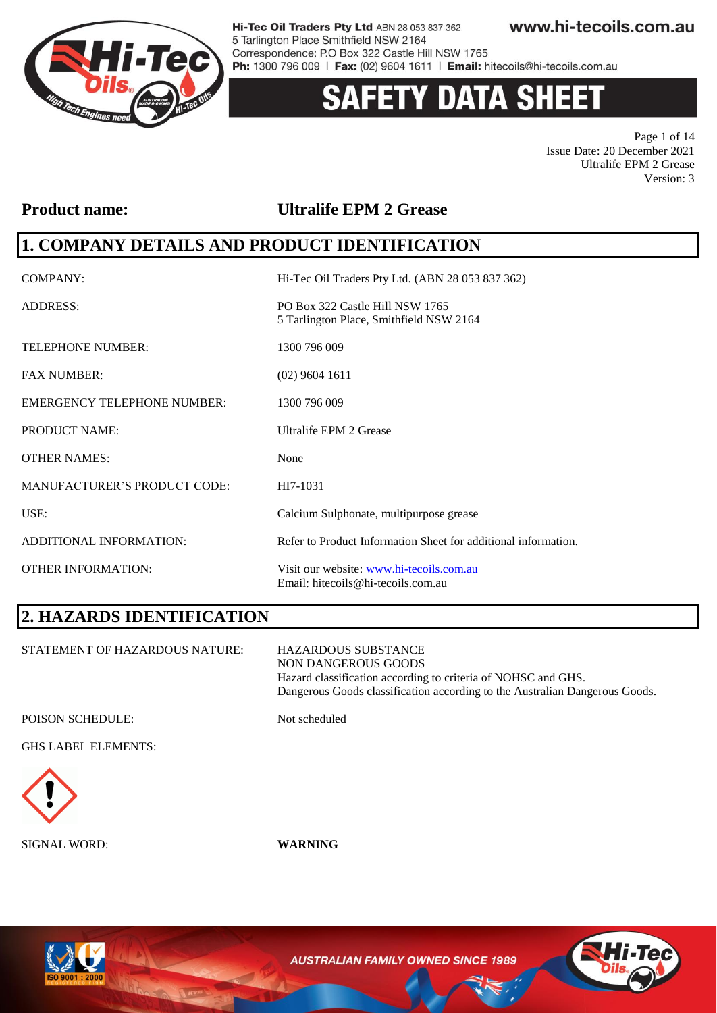

# **Y DATA SHEE**

Page 1 of 14 Issue Date: 20 December 2021 Ultralife EPM 2 Grease Version: 3

### **Product name: Ultralife EPM 2 Grease**

### **1. COMPANY DETAILS AND PRODUCT IDENTIFICATION**

| <b>COMPANY:</b>                     | Hi-Tec Oil Traders Pty Ltd. (ABN 28 053 837 362)                               |
|-------------------------------------|--------------------------------------------------------------------------------|
| <b>ADDRESS:</b>                     | PO Box 322 Castle Hill NSW 1765<br>5 Tarlington Place, Smithfield NSW 2164     |
| <b>TELEPHONE NUMBER:</b>            | 1300 796 009                                                                   |
| <b>FAX NUMBER:</b>                  | $(02)$ 9604 1611                                                               |
| <b>EMERGENCY TELEPHONE NUMBER:</b>  | 1300 796 009                                                                   |
| <b>PRODUCT NAME:</b>                | Ultralife EPM 2 Grease                                                         |
| <b>OTHER NAMES:</b>                 | None                                                                           |
| <b>MANUFACTURER'S PRODUCT CODE:</b> | HI7-1031                                                                       |
| USE:                                | Calcium Sulphonate, multipurpose grease                                        |
| ADDITIONAL INFORMATION:             | Refer to Product Information Sheet for additional information.                 |
| <b>OTHER INFORMATION:</b>           | Visit our website: www.hi-tecoils.com.au<br>Email: hitecoils@hi-tecoils.com.au |

# **2. HAZARDS IDENTIFICATION**

STATEMENT OF HAZARDOUS NATURE: HAZARDOUS SUBSTANCE NON DANGEROUS GOODS Hazard classification according to criteria of NOHSC and GHS. Dangerous Goods classification according to the Australian Dangerous Goods.

POISON SCHEDULE: Not scheduled

GHS LABEL ELEMENTS:



SIGNAL WORD: **WARNING**



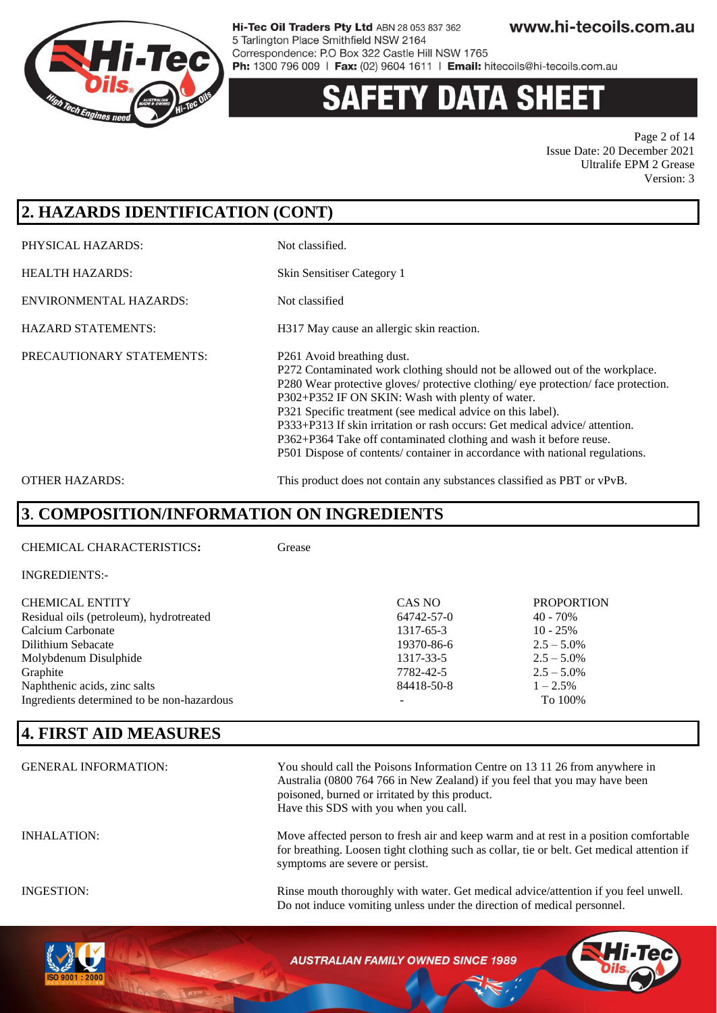

# Y DATA SH

Page 2 of 14 Issue Date: 20 December 2021 Ultralife EPM 2 Grease Version: 3

# **2. HAZARDS IDENTIFICATION (CONT)**

PHYSICAL HAZARDS: Not classified.

HEALTH HAZARDS: Skin Sensitiser Category 1

ENVIRONMENTAL HAZARDS: Not classified

HAZARD STATEMENTS: H317 May cause an allergic skin reaction.

PRECAUTIONARY STATEMENTS: P261 Avoid breathing dust.

P272 Contaminated work clothing should not be allowed out of the workplace. P280 Wear protective gloves/ protective clothing/ eye protection/ face protection. P302+P352 IF ON SKIN: Wash with plenty of water. P321 Specific treatment (see medical advice on this label). P333+P313 If skin irritation or rash occurs: Get medical advice/ attention. P362+P364 Take off contaminated clothing and wash it before reuse. P501 Dispose of contents/ container in accordance with national regulations.

OTHER HAZARDS: This product does not contain any substances classified as PBT or vPvB.

### **3**. **COMPOSITION/INFORMATION ON INGREDIENTS**

CHEMICAL CHARACTERISTICS**:** Grease

| <b>CHEMICAL ENTITY</b><br>Residual oils (petroleum), hydrotreated | CAS NO<br>64742-57-0 | <b>PROPORTION</b><br>$40 - 70\%$ |
|-------------------------------------------------------------------|----------------------|----------------------------------|
| Calcium Carbonate                                                 | 1317-65-3            | $10 - 25%$                       |
| Dilithium Sebacate                                                | 19370-86-6           | $2.5 - 5.0\%$                    |
| Molybdenum Disulphide                                             | 1317-33-5            | $2.5 - 5.0\%$                    |
| Graphite                                                          | 7782-42-5            | $2.5 - 5.0\%$                    |
| Naphthenic acids, zinc salts                                      | 84418-50-8           | $1 - 2.5\%$                      |
| Ingredients determined to be non-hazardous                        | -                    | To 100%                          |

# **4. FIRST AID MEASURES**

| <b>GENERAL INFORMATION:</b> | You should call the Poisons Information Centre on 13 11 26 from anywhere in<br>Australia (0800 764 766 in New Zealand) if you feel that you may have been<br>poisoned, burned or irritated by this product.<br>Have this SDS with you when you call. |
|-----------------------------|------------------------------------------------------------------------------------------------------------------------------------------------------------------------------------------------------------------------------------------------------|
| <b>INHALATION:</b>          | Move affected person to fresh air and keep warm and at rest in a position comfortable<br>for breathing. Loosen tight clothing such as collar, tie or belt. Get medical attention if<br>symptoms are severe or persist.                               |
| INGESTION:                  | Rinse mouth thoroughly with water. Get medical advice/attention if you feel unwell.<br>Do not induce vomiting unless under the direction of medical personnel.                                                                                       |



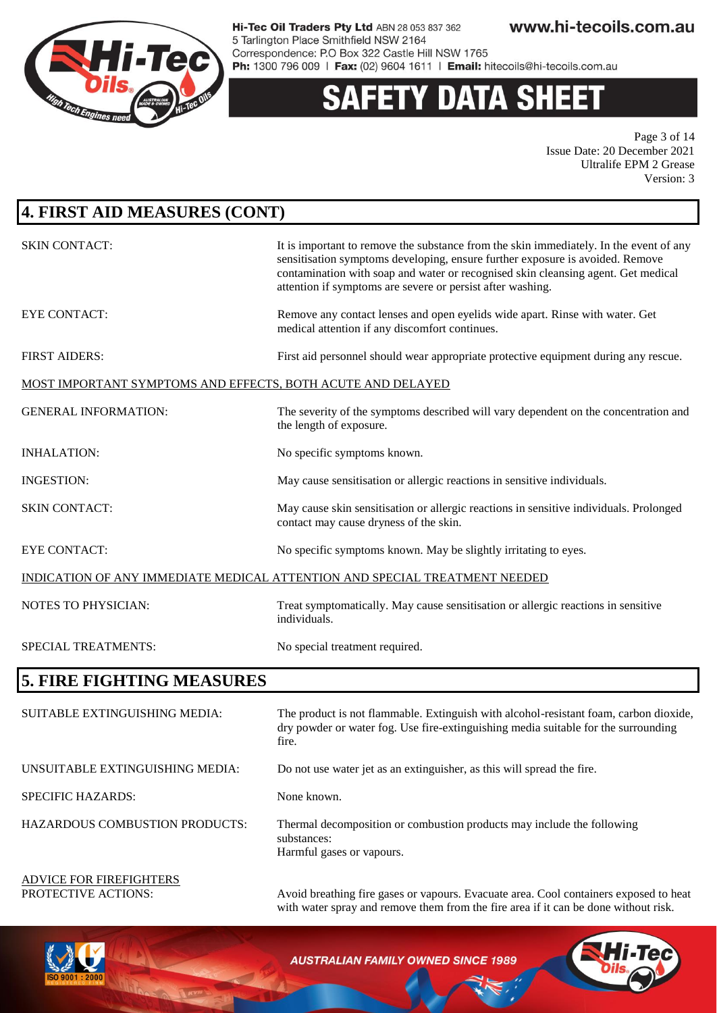

### **Y DATA SHEET** S

Page 3 of 14 Issue Date: 20 December 2021 Ultralife EPM 2 Grease Version: 3

| <b>4. FIRST AID MEASURES (CONT)</b>                         |                                                                                                                                                                                                                                                                                                                            |  |
|-------------------------------------------------------------|----------------------------------------------------------------------------------------------------------------------------------------------------------------------------------------------------------------------------------------------------------------------------------------------------------------------------|--|
| <b>SKIN CONTACT:</b>                                        | It is important to remove the substance from the skin immediately. In the event of any<br>sensitisation symptoms developing, ensure further exposure is avoided. Remove<br>contamination with soap and water or recognised skin cleansing agent. Get medical<br>attention if symptoms are severe or persist after washing. |  |
| <b>EYE CONTACT:</b>                                         | Remove any contact lenses and open eyelids wide apart. Rinse with water. Get<br>medical attention if any discomfort continues.                                                                                                                                                                                             |  |
| <b>FIRST AIDERS:</b>                                        | First aid personnel should wear appropriate protective equipment during any rescue.                                                                                                                                                                                                                                        |  |
| MOST IMPORTANT SYMPTOMS AND EFFECTS, BOTH ACUTE AND DELAYED |                                                                                                                                                                                                                                                                                                                            |  |
| <b>GENERAL INFORMATION:</b>                                 | The severity of the symptoms described will vary dependent on the concentration and<br>the length of exposure.                                                                                                                                                                                                             |  |
| <b>INHALATION:</b>                                          | No specific symptoms known.                                                                                                                                                                                                                                                                                                |  |
| <b>INGESTION:</b>                                           | May cause sensitisation or allergic reactions in sensitive individuals.                                                                                                                                                                                                                                                    |  |
| <b>SKIN CONTACT:</b>                                        | May cause skin sensitisation or allergic reactions in sensitive individuals. Prolonged<br>contact may cause dryness of the skin.                                                                                                                                                                                           |  |
| <b>EYE CONTACT:</b>                                         | No specific symptoms known. May be slightly irritating to eyes.                                                                                                                                                                                                                                                            |  |
|                                                             | INDICATION OF ANY IMMEDIATE MEDICAL ATTENTION AND SPECIAL TREATMENT NEEDED                                                                                                                                                                                                                                                 |  |
| NOTES TO PHYSICIAN:                                         | Treat symptomatically. May cause sensitisation or allergic reactions in sensitive<br>individuals.                                                                                                                                                                                                                          |  |
| SPECIAL TREATMENTS:                                         | No special treatment required.                                                                                                                                                                                                                                                                                             |  |
| 5. FIRE FIGHTING MEASURES                                   |                                                                                                                                                                                                                                                                                                                            |  |
| SUITABLE EXTINGUISHING MEDIA:                               | The product is not flammable. Extinguish with alcohol-resistant foam, carbon dioxide,<br>dry powder or water fog. Use fire-extinguishing media suitable for the surrounding<br>tire.                                                                                                                                       |  |
| UNSUITABLE EXTINGUISHING MEDIA:                             | Do not use water jet as an extinguisher, as this will spread the fire.                                                                                                                                                                                                                                                     |  |
| SPECIFIC HAZARDS:                                           | None known.                                                                                                                                                                                                                                                                                                                |  |
| <b>HAZARDOUS COMBUSTION PRODUCTS:</b>                       | Thermal decomposition or combustion products may include the following<br>substances:<br>Harmful gases or vapours.                                                                                                                                                                                                         |  |
| <b>ADVICE FOR FIREFIGHTERS</b><br>PROTECTIVE ACTIONS:       | Avoid breathing fire gases or vapours. Evacuate area. Cool containers exposed to heat<br>with water spray and remove them from the fire area if it can be done without risk.                                                                                                                                               |  |

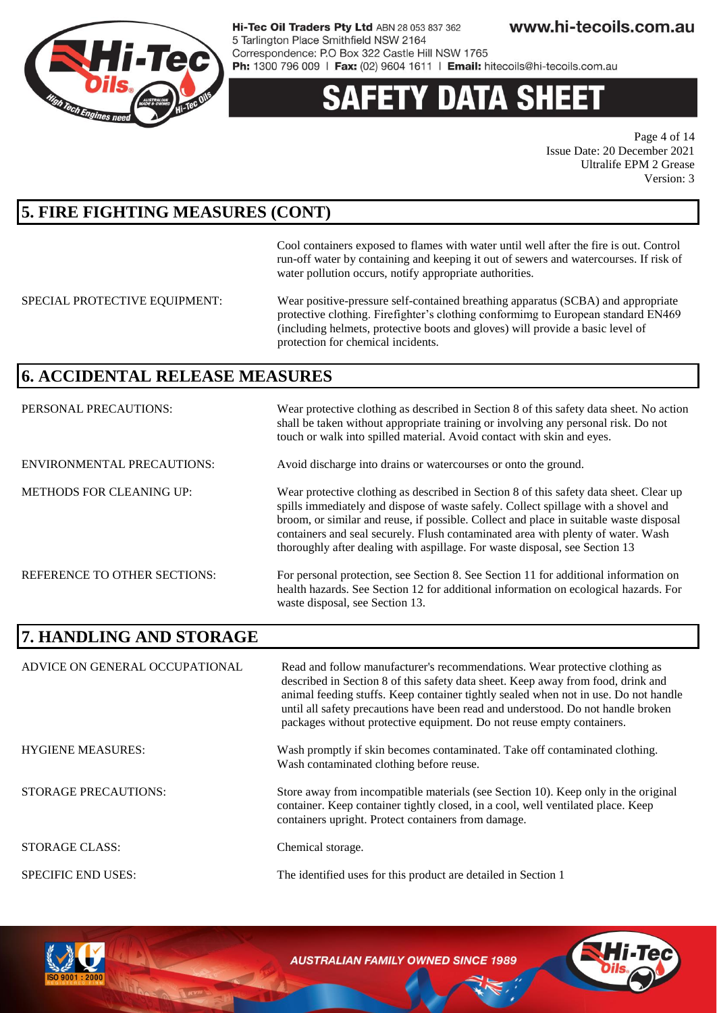

# Y DATA SH

Page 4 of 14 Issue Date: 20 December 2021 Ultralife EPM 2 Grease Version: 3

## **5. FIRE FIGHTING MEASURES (CONT)**

Cool containers exposed to flames with water until well after the fire is out. Control run-off water by containing and keeping it out of sewers and watercourses. If risk of water pollution occurs, notify appropriate authorities.

SPECIAL PROTECTIVE EQUIPMENT: Wear positive-pressure self-contained breathing apparatus (SCBA) and appropriate protective clothing. Firefighter's clothing conformimg to European standard EN469 (including helmets, protective boots and gloves) will provide a basic level of protection for chemical incidents.

### **6. ACCIDENTAL RELEASE MEASURES**

| PERSONAL PRECAUTIONS:               | Wear protective clothing as described in Section 8 of this safety data sheet. No action<br>shall be taken without appropriate training or involving any personal risk. Do not<br>touch or walk into spilled material. Avoid contact with skin and eyes.                                                                                                                                                                                   |
|-------------------------------------|-------------------------------------------------------------------------------------------------------------------------------------------------------------------------------------------------------------------------------------------------------------------------------------------------------------------------------------------------------------------------------------------------------------------------------------------|
| <b>ENVIRONMENTAL PRECAUTIONS:</b>   | Avoid discharge into drains or watercourses or onto the ground.                                                                                                                                                                                                                                                                                                                                                                           |
| <b>METHODS FOR CLEANING UP:</b>     | Wear protective clothing as described in Section 8 of this safety data sheet. Clear up<br>spills immediately and dispose of waste safely. Collect spillage with a shovel and<br>broom, or similar and reuse, if possible. Collect and place in suitable waste disposal<br>containers and seal securely. Flush contaminated area with plenty of water. Wash<br>thoroughly after dealing with aspillage. For waste disposal, see Section 13 |
| <b>REFERENCE TO OTHER SECTIONS:</b> | For personal protection, see Section 8. See Section 11 for additional information on<br>health hazards. See Section 12 for additional information on ecological hazards. For<br>waste disposal, see Section 13.                                                                                                                                                                                                                           |

### **7. HANDLING AND STORAGE**

| ADVICE ON GENERAL OCCUPATIONAL | Read and follow manufacturer's recommendations. Wear protective clothing as<br>described in Section 8 of this safety data sheet. Keep away from food, drink and<br>animal feeding stuffs. Keep container tightly sealed when not in use. Do not handle<br>until all safety precautions have been read and understood. Do not handle broken<br>packages without protective equipment. Do not reuse empty containers. |
|--------------------------------|---------------------------------------------------------------------------------------------------------------------------------------------------------------------------------------------------------------------------------------------------------------------------------------------------------------------------------------------------------------------------------------------------------------------|
| <b>HYGIENE MEASURES:</b>       | Wash promptly if skin becomes contaminated. Take off contaminated clothing.<br>Wash contaminated clothing before reuse.                                                                                                                                                                                                                                                                                             |
| <b>STORAGE PRECAUTIONS:</b>    | Store away from incompatible materials (see Section 10). Keep only in the original<br>container. Keep container tightly closed, in a cool, well ventilated place. Keep<br>containers upright. Protect containers from damage.                                                                                                                                                                                       |
| STORAGE CLASS:                 | Chemical storage.                                                                                                                                                                                                                                                                                                                                                                                                   |
| <b>SPECIFIC END USES:</b>      | The identified uses for this product are detailed in Section 1                                                                                                                                                                                                                                                                                                                                                      |



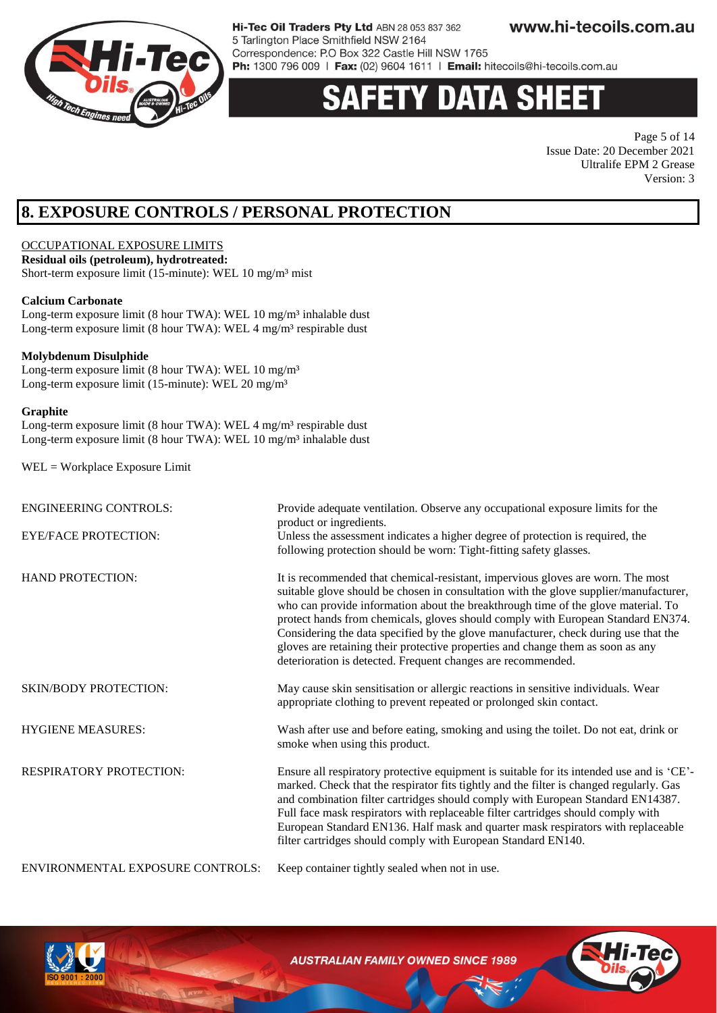

# Y DATA SH

Page 5 of 14 Issue Date: 20 December 2021 Ultralife EPM 2 Grease Version: 3

# **8. EXPOSURE CONTROLS / PERSONAL PROTECTION**

#### OCCUPATIONAL EXPOSURE LIMITS

**Residual oils (petroleum), hydrotreated:** Short-term exposure limit (15-minute): WEL 10 mg/m<sup>3</sup> mist

#### **Calcium Carbonate**

Long-term exposure limit (8 hour TWA): WEL 10 mg/m<sup>3</sup> inhalable dust Long-term exposure limit (8 hour TWA): WEL 4 mg/m<sup>3</sup> respirable dust

#### **Molybdenum Disulphide**

Long-term exposure limit (8 hour TWA): WEL 10 mg/m<sup>3</sup> Long-term exposure limit (15-minute): WEL 20 mg/m<sup>3</sup>

#### **Graphite**

Long-term exposure limit (8 hour TWA): WEL 4 mg/m<sup>3</sup> respirable dust Long-term exposure limit (8 hour TWA): WEL 10 mg/m<sup>3</sup> inhalable dust

WEL = Workplace Exposure Limit

| <b>ENGINEERING CONTROLS:</b><br><b>EYE/FACE PROTECTION:</b> | Provide adequate ventilation. Observe any occupational exposure limits for the<br>product or ingredients.<br>Unless the assessment indicates a higher degree of protection is required, the<br>following protection should be worn: Tight-fitting safety glasses.                                                                                                                                                                                                                                                                                                                           |
|-------------------------------------------------------------|---------------------------------------------------------------------------------------------------------------------------------------------------------------------------------------------------------------------------------------------------------------------------------------------------------------------------------------------------------------------------------------------------------------------------------------------------------------------------------------------------------------------------------------------------------------------------------------------|
| <b>HAND PROTECTION:</b>                                     | It is recommended that chemical-resistant, impervious gloves are worn. The most<br>suitable glove should be chosen in consultation with the glove supplier/manufacturer,<br>who can provide information about the breakthrough time of the glove material. To<br>protect hands from chemicals, gloves should comply with European Standard EN374.<br>Considering the data specified by the glove manufacturer, check during use that the<br>gloves are retaining their protective properties and change them as soon as any<br>deterioration is detected. Frequent changes are recommended. |
| <b>SKIN/BODY PROTECTION:</b>                                | May cause skin sensitisation or allergic reactions in sensitive individuals. Wear<br>appropriate clothing to prevent repeated or prolonged skin contact.                                                                                                                                                                                                                                                                                                                                                                                                                                    |
| <b>HYGIENE MEASURES:</b>                                    | Wash after use and before eating, smoking and using the toilet. Do not eat, drink or<br>smoke when using this product.                                                                                                                                                                                                                                                                                                                                                                                                                                                                      |
| <b>RESPIRATORY PROTECTION:</b>                              | Ensure all respiratory protective equipment is suitable for its intended use and is 'CE'-<br>marked. Check that the respirator fits tightly and the filter is changed regularly. Gas<br>and combination filter cartridges should comply with European Standard EN14387.<br>Full face mask respirators with replaceable filter cartridges should comply with<br>European Standard EN136. Half mask and quarter mask respirators with replaceable<br>filter cartridges should comply with European Standard EN140.                                                                            |
| ENVIRONMENTAL EXPOSURE CONTROLS:                            | Keep container tightly sealed when not in use.                                                                                                                                                                                                                                                                                                                                                                                                                                                                                                                                              |

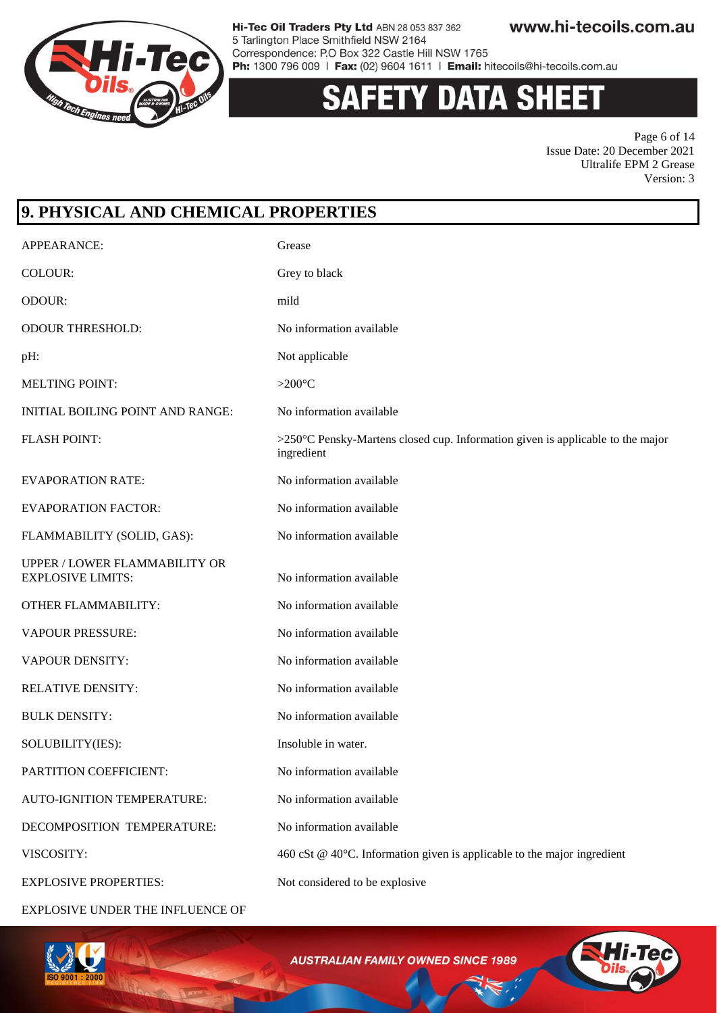

www.hi-tecoils.com.au Hi-Tec Oil Traders Pty Ltd ABN 28 053 837 362 5 Tarlington Place Smithfield NSW 2164 Correspondence: P.O Box 322 Castle Hill NSW 1765

Ph: 1300 796 009 | Fax: (02) 9604 1611 | Email: hitecoils@hi-tecoils.com.au

# Y DATA SH

Page 6 of 14 Issue Date: 20 December 2021 Ultralife EPM 2 Grease Version: 3

# **9. PHYSICAL AND CHEMICAL PROPERTIES** APPEARANCE: Grease COLOUR: Grey to black ODOUR: mild ODOUR THRESHOLD: No information available pH: Not applicable MELTING POINT: >200°C INITIAL BOILING POINT AND RANGE: No information available FLASH POINT: >250°C Pensky-Martens closed cup. Information given is applicable to the major ingredient EVAPORATION RATE: No information available EVAPORATION FACTOR: No information available FLAMMABILITY (SOLID, GAS): No information available UPPER / LOWER FLAMMABILITY OR EXPLOSIVE LIMITS: No information available OTHER FLAMMABILITY: No information available VAPOUR PRESSURE: No information available VAPOUR DENSITY: No information available RELATIVE DENSITY: No information available BULK DENSITY: No information available SOLUBILITY(IES): Insoluble in water. PARTITION COEFFICIENT: No information available AUTO-IGNITION TEMPERATURE: No information available DECOMPOSITION TEMPERATURE: No information available VISCOSITY: 460 cSt @ 40°C. Information given is applicable to the major ingredient EXPLOSIVE PROPERTIES: Not considered to be explosive

EXPLOSIVE UNDER THE INFLUENCE OF



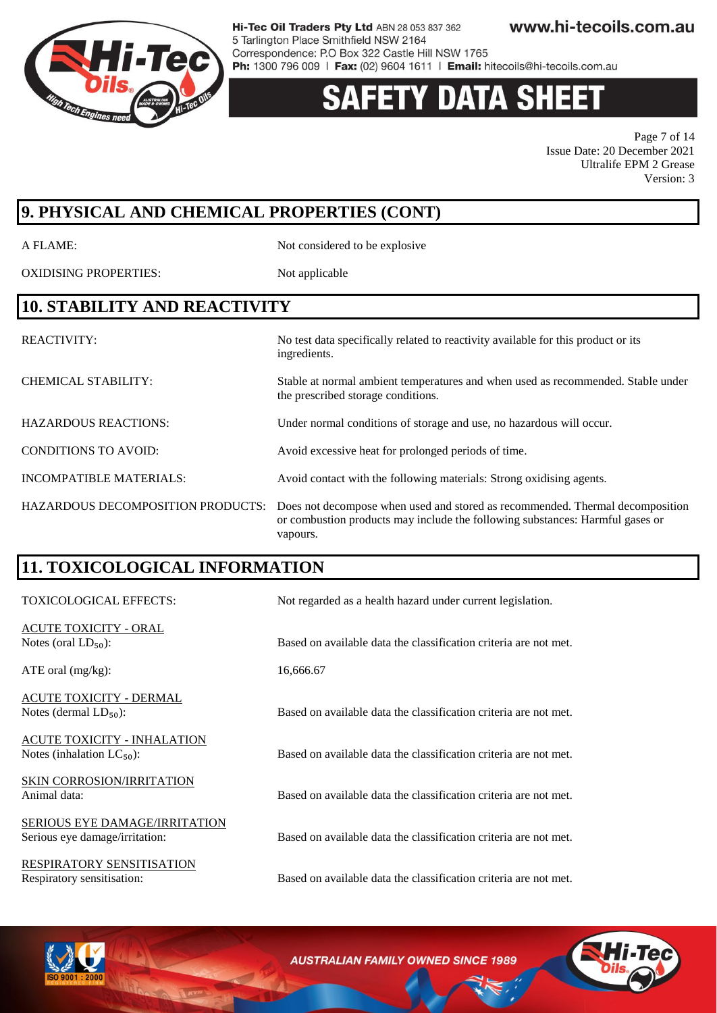

# Y DATA SH

Page 7 of 14 Issue Date: 20 December 2021 Ultralife EPM 2 Grease Version: 3

# **9. PHYSICAL AND CHEMICAL PROPERTIES (CONT)**

A FLAME: Not considered to be explosive

OXIDISING PROPERTIES: Not applicable

### **10. STABILITY AND REACTIVITY**

REACTIVITY: No test data specifically related to reactivity available for this product or its ingredients. CHEMICAL STABILITY: Stable at normal ambient temperatures and when used as recommended. Stable under the prescribed storage conditions. HAZARDOUS REACTIONS: Under normal conditions of storage and use, no hazardous will occur. CONDITIONS TO AVOID: Avoid excessive heat for prolonged periods of time. INCOMPATIBLE MATERIALS: Avoid contact with the following materials: Strong oxidising agents. HAZARDOUS DECOMPOSITION PRODUCTS: Does not decompose when used and stored as recommended. Thermal decomposition or combustion products may include the following substances: Harmful gases or vapours.

# **11. TOXICOLOGICAL INFORMATION**

| TOXICOLOGICAL EFFECTS:                                          | Not regarded as a health hazard under current legislation.       |
|-----------------------------------------------------------------|------------------------------------------------------------------|
| ACUTE TOXICITY - ORAL<br>Notes (oral $LD_{50}$ ):               | Based on available data the classification criteria are not met. |
| ATE oral (mg/kg):                                               | 16,666.67                                                        |
| <u> ACUTE TOXICITY - DERMAL</u><br>Notes (dermal $LD_{50}$ ):   | Based on available data the classification criteria are not met. |
| ACUTE TOXICITY - INHALATION<br>Notes (inhalation $LC_{50}$ ):   | Based on available data the classification criteria are not met. |
| <b>SKIN CORROSION/IRRITATION</b><br>Animal data:                | Based on available data the classification criteria are not met. |
| SERIOUS EYE DAMAGE/IRRITATION<br>Serious eye damage/irritation: | Based on available data the classification criteria are not met. |
| RESPIRATORY SENSITISATION<br>Respiratory sensitisation:         | Based on available data the classification criteria are not met. |

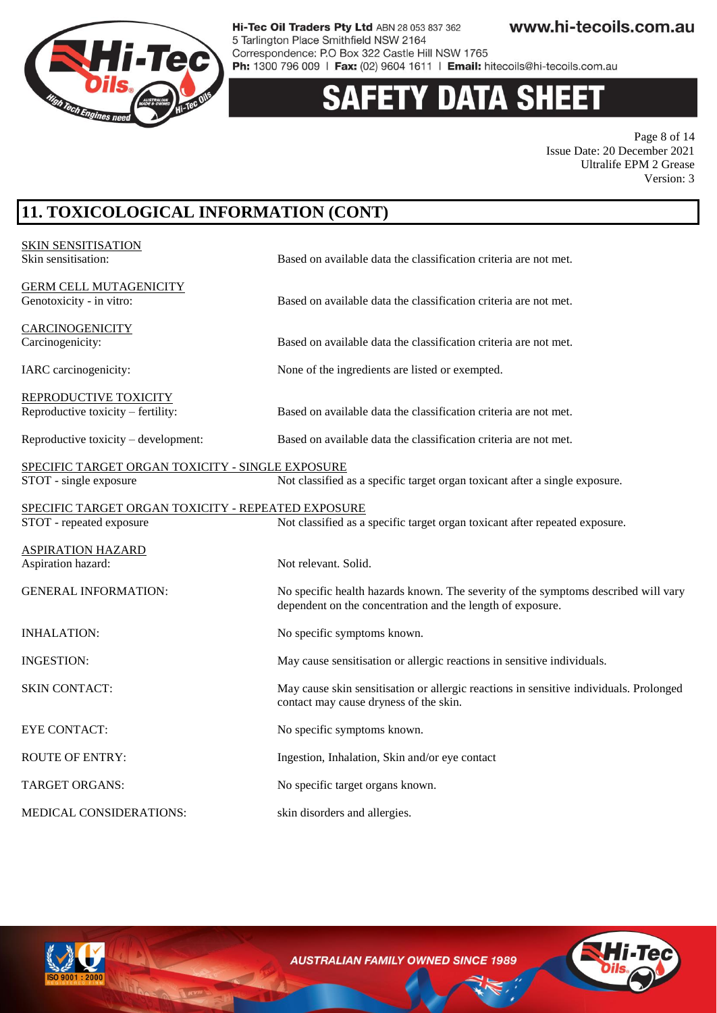

# **Y DATA SHEET**

Page 8 of 14 Issue Date: 20 December 2021 Ultralife EPM 2 Grease Version: 3

# **11. TOXICOLOGICAL INFORMATION (CONT)**

| <b>SKIN SENSITISATION</b><br>Skin sensitisation:                           | Based on available data the classification criteria are not met.                                                                                 |
|----------------------------------------------------------------------------|--------------------------------------------------------------------------------------------------------------------------------------------------|
| <b>GERM CELL MUTAGENICITY</b><br>Genotoxicity - in vitro:                  | Based on available data the classification criteria are not met.                                                                                 |
| <b>CARCINOGENICITY</b><br>Carcinogenicity:                                 | Based on available data the classification criteria are not met.                                                                                 |
| IARC carcinogenicity:                                                      | None of the ingredients are listed or exempted.                                                                                                  |
| REPRODUCTIVE TOXICITY<br>Reproductive toxicity – fertility:                | Based on available data the classification criteria are not met.                                                                                 |
| Reproductive toxicity – development:                                       | Based on available data the classification criteria are not met.                                                                                 |
| SPECIFIC TARGET ORGAN TOXICITY - SINGLE EXPOSURE<br>STOT - single exposure | Not classified as a specific target organ toxicant after a single exposure.                                                                      |
| SPECIFIC TARGET ORGAN TOXICITY - REPEATED EXPOSURE                         |                                                                                                                                                  |
| STOT - repeated exposure                                                   | Not classified as a specific target organ toxicant after repeated exposure.                                                                      |
| <b>ASPIRATION HAZARD</b><br>Aspiration hazard:                             | Not relevant. Solid.                                                                                                                             |
| <b>GENERAL INFORMATION:</b>                                                | No specific health hazards known. The severity of the symptoms described will vary<br>dependent on the concentration and the length of exposure. |
| <b>INHALATION:</b>                                                         | No specific symptoms known.                                                                                                                      |
| <b>INGESTION:</b>                                                          | May cause sensitisation or allergic reactions in sensitive individuals.                                                                          |
| <b>SKIN CONTACT:</b>                                                       | May cause skin sensitisation or allergic reactions in sensitive individuals. Prolonged<br>contact may cause dryness of the skin.                 |
| <b>EYE CONTACT:</b>                                                        | No specific symptoms known.                                                                                                                      |
| <b>ROUTE OF ENTRY:</b>                                                     | Ingestion, Inhalation, Skin and/or eye contact                                                                                                   |
| <b>TARGET ORGANS:</b>                                                      | No specific target organs known.                                                                                                                 |
| MEDICAL CONSIDERATIONS:                                                    | skin disorders and allergies.                                                                                                                    |
|                                                                            |                                                                                                                                                  |

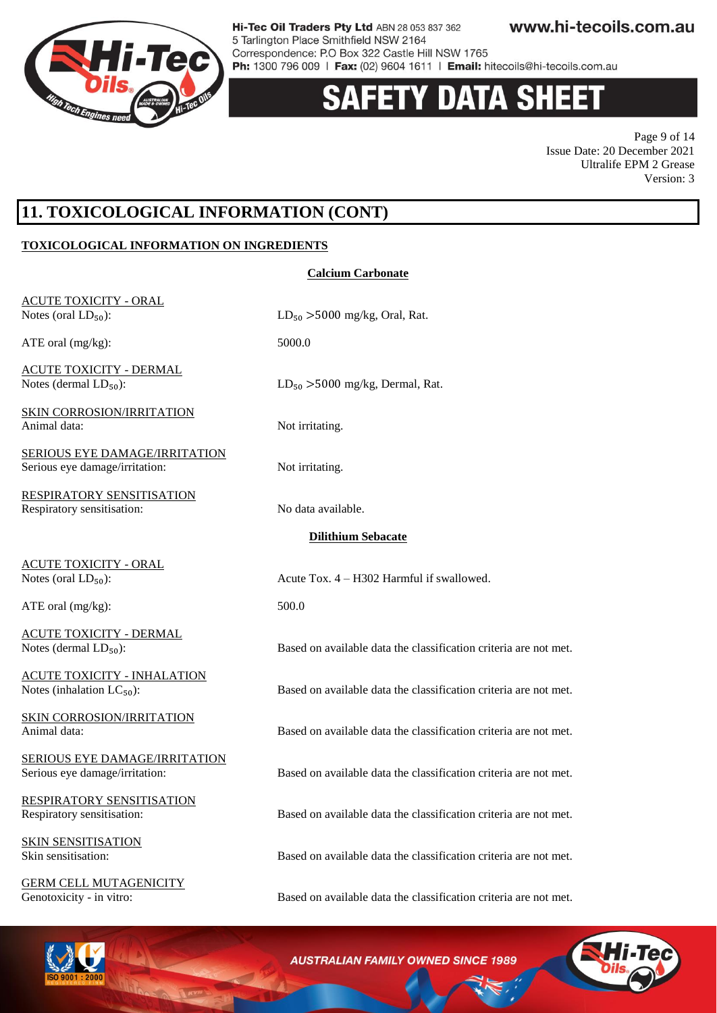

### y data shi 13

Page 9 of 14 Issue Date: 20 December 2021 Ultralife EPM 2 Grease Version: 3

## **11. TOXICOLOGICAL INFORMATION (CONT)**

#### **TOXICOLOGICAL INFORMATION ON INGREDIENTS**

| <b>ACUTE TOXICITY - ORAL</b><br>Notes (oral $LD_{50}$ ):               | $LD_{50} > 5000$ mg/kg, Oral, Rat.                               |
|------------------------------------------------------------------------|------------------------------------------------------------------|
| ATE oral $(mg/kg)$ :                                                   | 5000.0                                                           |
| <b>ACUTE TOXICITY - DERMAL</b><br>Notes (dermal $LD_{50}$ ):           | $LD_{50} > 5000$ mg/kg, Dermal, Rat.                             |
| <b>SKIN CORROSION/IRRITATION</b><br>Animal data:                       | Not irritating.                                                  |
| <u>SERIOUS EYE DAMAGE/IRRITATION</u><br>Serious eye damage/irritation: | Not irritating.                                                  |
| <b>RESPIRATORY SENSITISATION</b><br>Respiratory sensitisation:         | No data available.                                               |
|                                                                        | <b>Dilithium Sebacate</b>                                        |
| <b>ACUTE TOXICITY - ORAL</b><br>Notes (oral $LD_{50}$ ):               | Acute Tox. 4 - H302 Harmful if swallowed.                        |
| ATE oral $(mg/kg)$ :                                                   | 500.0                                                            |
| <b>ACUTE TOXICITY - DERMAL</b><br>Notes (dermal $LD_{50}$ ):           | Based on available data the classification criteria are not met. |
| <b>ACUTE TOXICITY - INHALATION</b><br>Notes (inhalation $LC_{50}$ ):   | Based on available data the classification criteria are not met. |
| <b>SKIN CORROSION/IRRITATION</b><br>Animal data:                       | Based on available data the classification criteria are not met. |
| <b>SERIOUS EYE DAMAGE/IRRITATION</b><br>Serious eye damage/irritation: | Based on available data the classification criteria are not met. |
| RESPIRATORY SENSITISATION<br>Respiratory sensitisation:                | Based on available data the classification criteria are not met. |
| <b>SKIN SENSITISATION</b><br>Skin sensitisation:                       | Based on available data the classification criteria are not met. |
| <b>GERM CELL MUTAGENICITY</b><br>Genotoxicity - in vitro:              | Based on available data the classification criteria are not met. |

**Calcium Carbonate**

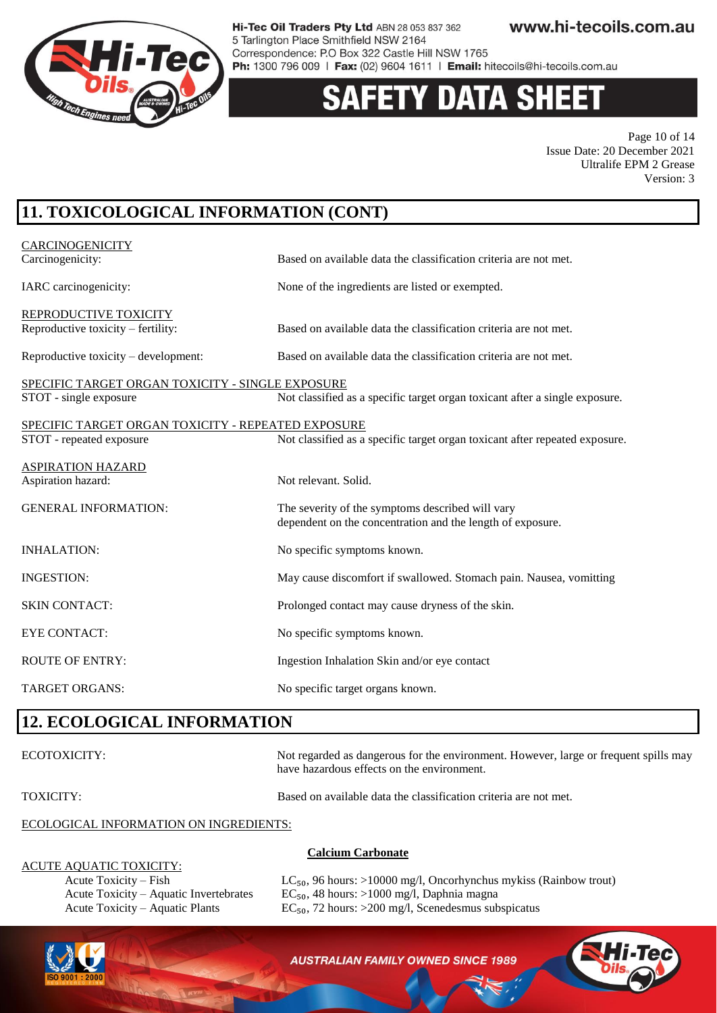

# **DATA SH**

Page 10 of 14 Issue Date: 20 December 2021 Ultralife EPM 2 Grease Version: 3

# **11. TOXICOLOGICAL INFORMATION (CONT)**

| <b>CARCINOGENICITY</b>                             |                                                                             |
|----------------------------------------------------|-----------------------------------------------------------------------------|
| Carcinogenicity:                                   | Based on available data the classification criteria are not met.            |
| IARC carcinogenicity:                              | None of the ingredients are listed or exempted.                             |
| REPRODUCTIVE TOXICITY                              |                                                                             |
| Reproductive toxicity – fertility:                 | Based on available data the classification criteria are not met.            |
| Reproductive toxicity $-$ development:             | Based on available data the classification criteria are not met.            |
| SPECIFIC TARGET ORGAN TOXICITY - SINGLE EXPOSURE   |                                                                             |
| STOT - single exposure                             | Not classified as a specific target organ toxicant after a single exposure. |
| SPECIFIC TARGET ORGAN TOXICITY - REPEATED EXPOSURE |                                                                             |
| STOT - repeated exposure                           | Not classified as a specific target organ toxicant after repeated exposure. |
| <b>ASPIRATION HAZARD</b>                           |                                                                             |
| Aspiration hazard:                                 | Not relevant. Solid.                                                        |
| <b>GENERAL INFORMATION:</b>                        | The severity of the symptoms described will vary                            |
|                                                    | dependent on the concentration and the length of exposure.                  |
| <b>INHALATION:</b>                                 | No specific symptoms known.                                                 |
| <b>INGESTION:</b>                                  | May cause discomfort if swallowed. Stomach pain. Nausea, vomitting          |
| <b>SKIN CONTACT:</b>                               | Prolonged contact may cause dryness of the skin.                            |
| <b>EYE CONTACT:</b>                                | No specific symptoms known.                                                 |
| <b>ROUTE OF ENTRY:</b>                             | Ingestion Inhalation Skin and/or eye contact                                |
| <b>TARGET ORGANS:</b>                              | No specific target organs known.                                            |

### **12. ECOLOGICAL INFORMATION**

ECOTOXICITY: Not regarded as dangerous for the environment. However, large or frequent spills may have hazardous effects on the environment.

TOXICITY: Based on available data the classification criteria are not met.

#### ECOLOGICAL INFORMATION ON INGREDIENTS:

#### **Calcium Carbonate**

ACUTE AQUATIC TOXICITY:

Acute Toxicity – Fish  $LC_{50}$ , 96 hours: >10000 mg/l, Oncorhynchus mykiss (Rainbow trout) Acute Toxicity – Aquatic Invertebrates  $EC_{50}$ , 48 hours: >1000 mg/l, Daphnia magna Acute Toxicity – Aquatic Plants EC $_{50}$ , 72 hours: >200 mg/l, Scenedesmus subspicatus



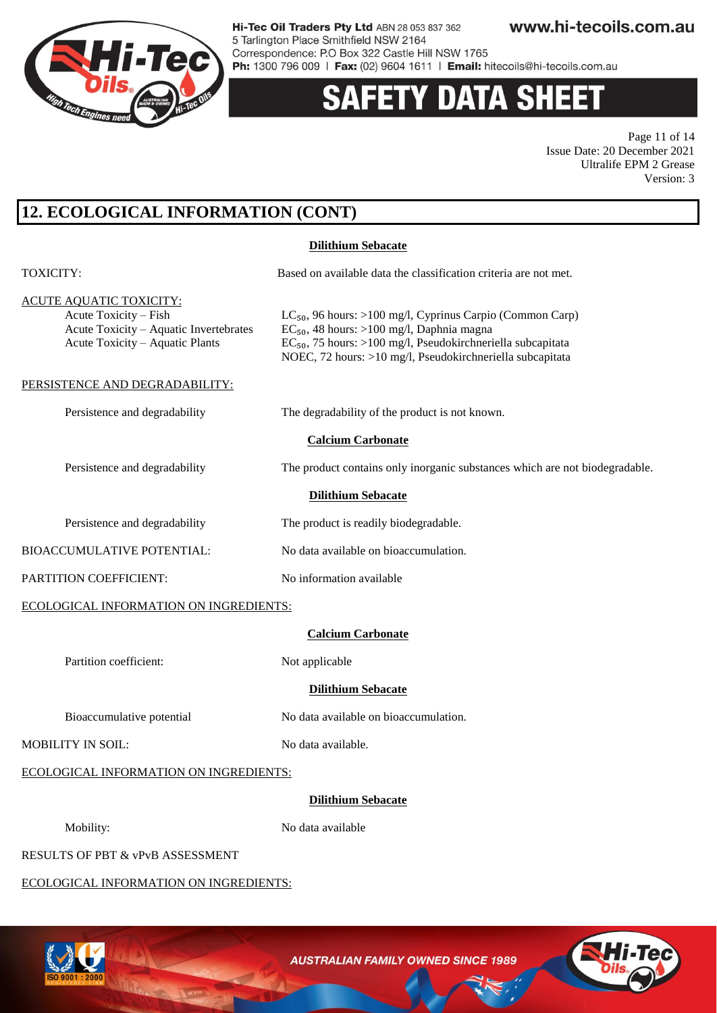

# **Y DATA SHEET**

Page 11 of 14 Issue Date: 20 December 2021 Ultralife EPM 2 Grease Version: 3

# **12. ECOLOGICAL INFORMATION (CONT)**

#### **Dilithium Sebacate**

| <b>TOXICITY:</b>                                                                                                                     | Based on available data the classification criteria are not met.                                                                                                                                                                                  |  |
|--------------------------------------------------------------------------------------------------------------------------------------|---------------------------------------------------------------------------------------------------------------------------------------------------------------------------------------------------------------------------------------------------|--|
| <b>ACUTE AQUATIC TOXICITY:</b><br>Acute Toxicity - Fish<br>Acute Toxicity - Aquatic Invertebrates<br>Acute Toxicity - Aquatic Plants | $LC_{50}$ , 96 hours: >100 mg/l, Cyprinus Carpio (Common Carp)<br>$EC_{50}$ , 48 hours: >100 mg/l, Daphnia magna<br>$EC_{50}$ , 75 hours: >100 mg/l, Pseudokirchneriella subcapitata<br>NOEC, 72 hours: >10 mg/l, Pseudokirchneriella subcapitata |  |
| PERSISTENCE AND DEGRADABILITY:                                                                                                       |                                                                                                                                                                                                                                                   |  |
| Persistence and degradability                                                                                                        | The degradability of the product is not known.                                                                                                                                                                                                    |  |
| <b>Calcium Carbonate</b>                                                                                                             |                                                                                                                                                                                                                                                   |  |
| Persistence and degradability                                                                                                        | The product contains only inorganic substances which are not biodegradable.                                                                                                                                                                       |  |
| <b>Dilithium Sebacate</b>                                                                                                            |                                                                                                                                                                                                                                                   |  |
| Persistence and degradability                                                                                                        | The product is readily biodegradable.                                                                                                                                                                                                             |  |
| <b>BIOACCUMULATIVE POTENTIAL:</b>                                                                                                    | No data available on bioaccumulation.                                                                                                                                                                                                             |  |
| PARTITION COEFFICIENT:                                                                                                               | No information available                                                                                                                                                                                                                          |  |
| ECOLOGICAL INFORMATION ON INGREDIENTS:                                                                                               |                                                                                                                                                                                                                                                   |  |
| <b>Calcium Carbonate</b>                                                                                                             |                                                                                                                                                                                                                                                   |  |
| Partition coefficient:                                                                                                               | Not applicable                                                                                                                                                                                                                                    |  |
| <b>Dilithium Sebacate</b>                                                                                                            |                                                                                                                                                                                                                                                   |  |
| Bioaccumulative potential                                                                                                            | No data available on bioaccumulation.                                                                                                                                                                                                             |  |
| <b>MOBILITY IN SOIL:</b>                                                                                                             | No data available.                                                                                                                                                                                                                                |  |
| ECOLOGICAL INFORMATION ON INGREDIENTS:                                                                                               |                                                                                                                                                                                                                                                   |  |
| <b>Dilithium Sebacate</b>                                                                                                            |                                                                                                                                                                                                                                                   |  |
| Mobility:                                                                                                                            | No data available                                                                                                                                                                                                                                 |  |
| RESULTS OF PBT & vPvB ASSESSMENT                                                                                                     |                                                                                                                                                                                                                                                   |  |
| ECOLOGICAL INFORMATION ON INGREDIENTS:                                                                                               |                                                                                                                                                                                                                                                   |  |



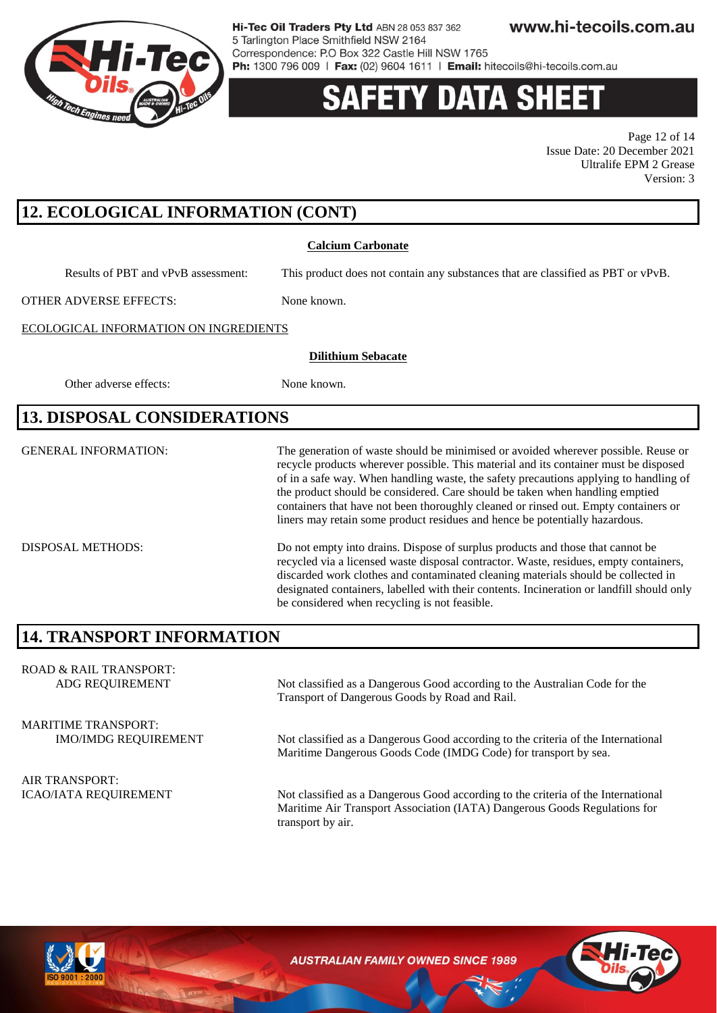

www.hi-tecoils.com.au Hi-Tec Oil Traders Pty Ltd ABN 28 053 837 362 5 Tarlington Place Smithfield NSW 2164 Correspondence: P.O Box 322 Castle Hill NSW 1765

Ph: 1300 796 009 | Fax: (02) 9604 1611 | Email: hitecoils@hi-tecoils.com.au

# Y DATA SH

Page 12 of 14 Issue Date: 20 December 2021 Ultralife EPM 2 Grease Version: 3

# **12. ECOLOGICAL INFORMATION (CONT)**

#### **Calcium Carbonate**

Results of PBT and vPvB assessment: This product does not contain any substances that are classified as PBT or vPvB.

OTHER ADVERSE EFFECTS: None known.

**Dilithium Sebacate**

#### ECOLOGICAL INFORMATION ON INGREDIENTS

Other adverse effects: None known.

### **13. DISPOSAL CONSIDERATIONS**

GENERAL INFORMATION: The generation of waste should be minimised or avoided wherever possible. Reuse or recycle products wherever possible. This material and its container must be disposed of in a safe way. When handling waste, the safety precautions applying to handling of the product should be considered. Care should be taken when handling emptied containers that have not been thoroughly cleaned or rinsed out. Empty containers or liners may retain some product residues and hence be potentially hazardous.

DISPOSAL METHODS: Do not empty into drains. Dispose of surplus products and those that cannot be recycled via a licensed waste disposal contractor. Waste, residues, empty containers, discarded work clothes and contaminated cleaning materials should be collected in designated containers, labelled with their contents. Incineration or landfill should only be considered when recycling is not feasible.

### **14. TRANSPORT INFORMATION**

ROAD & RAIL TRANSPORT: ADG REQUIREMENT Not classified as a Dangerous Good according to the Australian Code for the Transport of Dangerous Goods by Road and Rail. MARITIME TRANSPORT: IMO/IMDG REQUIREMENT Not classified as a Dangerous Good according to the criteria of the International Maritime Dangerous Goods Code (IMDG Code) for transport by sea. AIR TRANSPORT: ICAO/IATA REQUIREMENT Not classified as a Dangerous Good according to the criteria of the International Maritime Air Transport Association (IATA) Dangerous Goods Regulations for transport by air.

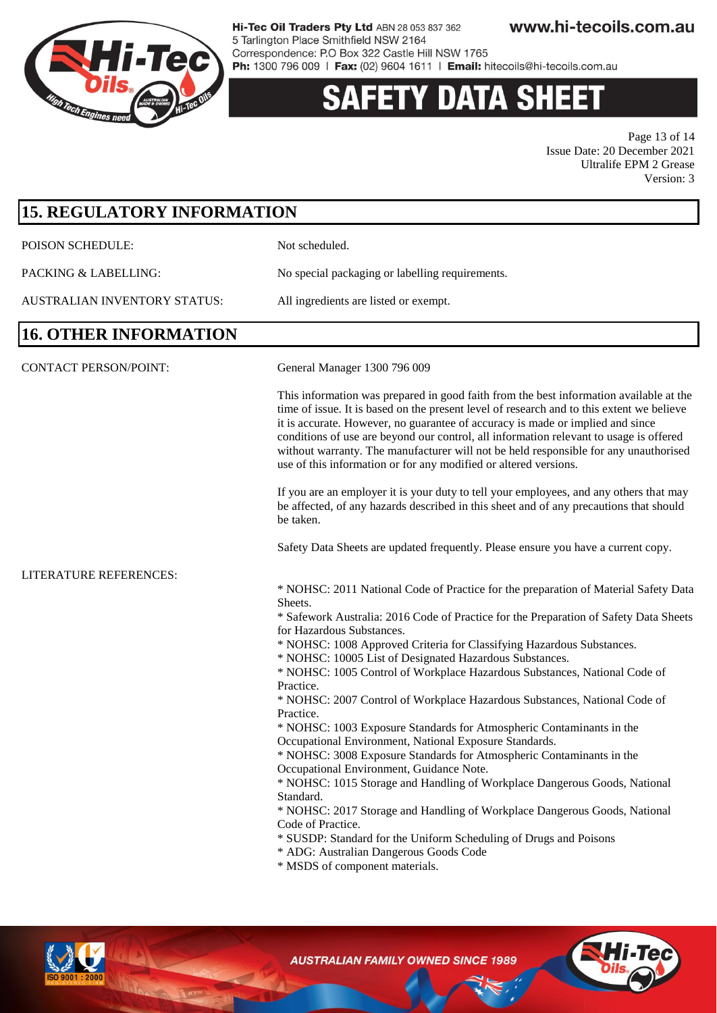

### **Y DATA SHEET** S

Page 13 of 14 Issue Date: 20 December 2021 Ultralife EPM 2 Grease Version: 3

| <b>15. REGULATORY INFORMATION</b> |                                                                                                                                                                                                                                                                                                                                                                                                                                                                                                                             |
|-----------------------------------|-----------------------------------------------------------------------------------------------------------------------------------------------------------------------------------------------------------------------------------------------------------------------------------------------------------------------------------------------------------------------------------------------------------------------------------------------------------------------------------------------------------------------------|
| POISON SCHEDULE:                  | Not scheduled.                                                                                                                                                                                                                                                                                                                                                                                                                                                                                                              |
| PACKING & LABELLING:              | No special packaging or labelling requirements.                                                                                                                                                                                                                                                                                                                                                                                                                                                                             |
| AUSTRALIAN INVENTORY STATUS:      | All ingredients are listed or exempt.                                                                                                                                                                                                                                                                                                                                                                                                                                                                                       |
| <b>16. OTHER INFORMATION</b>      |                                                                                                                                                                                                                                                                                                                                                                                                                                                                                                                             |
| <b>CONTACT PERSON/POINT:</b>      | General Manager 1300 796 009                                                                                                                                                                                                                                                                                                                                                                                                                                                                                                |
|                                   | This information was prepared in good faith from the best information available at the<br>time of issue. It is based on the present level of research and to this extent we believe<br>it is accurate. However, no guarantee of accuracy is made or implied and since<br>conditions of use are beyond our control, all information relevant to usage is offered<br>without warranty. The manufacturer will not be held responsible for any unauthorised<br>use of this information or for any modified or altered versions. |
|                                   | If you are an employer it is your duty to tell your employees, and any others that may<br>be affected, of any hazards described in this sheet and of any precautions that should<br>be taken.                                                                                                                                                                                                                                                                                                                               |
|                                   | Safety Data Sheets are updated frequently. Please ensure you have a current copy.                                                                                                                                                                                                                                                                                                                                                                                                                                           |
| LITERATURE REFERENCES:            |                                                                                                                                                                                                                                                                                                                                                                                                                                                                                                                             |
|                                   | * NOHSC: 2011 National Code of Practice for the preparation of Material Safety Data<br>Sheets.                                                                                                                                                                                                                                                                                                                                                                                                                              |
|                                   | * Safework Australia: 2016 Code of Practice for the Preparation of Safety Data Sheets<br>for Hazardous Substances.                                                                                                                                                                                                                                                                                                                                                                                                          |
|                                   | * NOHSC: 1008 Approved Criteria for Classifying Hazardous Substances.<br>* NOHSC: 10005 List of Designated Hazardous Substances.                                                                                                                                                                                                                                                                                                                                                                                            |
|                                   | * NOHSC: 1005 Control of Workplace Hazardous Substances, National Code of<br>Practice.                                                                                                                                                                                                                                                                                                                                                                                                                                      |
|                                   | * NOHSC: 2007 Control of Workplace Hazardous Substances, National Code of<br>Practice.                                                                                                                                                                                                                                                                                                                                                                                                                                      |
|                                   | * NOHSC: 1003 Exposure Standards for Atmospheric Contaminants in the                                                                                                                                                                                                                                                                                                                                                                                                                                                        |
|                                   | Occupational Environment, National Exposure Standards.<br>* NOHSC: 3008 Exposure Standards for Atmospheric Contaminants in the                                                                                                                                                                                                                                                                                                                                                                                              |
|                                   | Occupational Environment, Guidance Note.                                                                                                                                                                                                                                                                                                                                                                                                                                                                                    |
|                                   | * NOHSC: 1015 Storage and Handling of Workplace Dangerous Goods, National<br>Standard.                                                                                                                                                                                                                                                                                                                                                                                                                                      |
|                                   | * NOHSC: 2017 Storage and Handling of Workplace Dangerous Goods, National                                                                                                                                                                                                                                                                                                                                                                                                                                                   |
|                                   | Code of Practice.<br>* SUSDP: Standard for the Uniform Scheduling of Drugs and Poisons<br>* ADG: Australian Dangerous Goods Code<br>* MSDS of component materials.                                                                                                                                                                                                                                                                                                                                                          |
|                                   |                                                                                                                                                                                                                                                                                                                                                                                                                                                                                                                             |